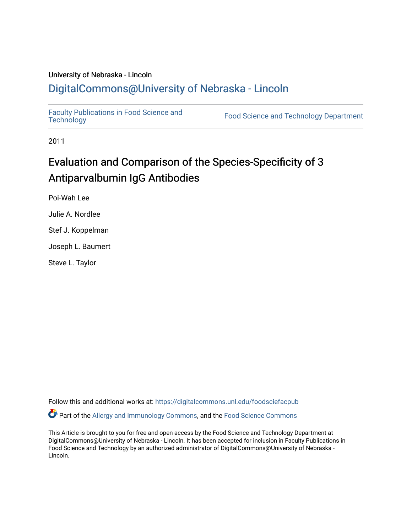# University of Nebraska - Lincoln [DigitalCommons@University of Nebraska - Lincoln](https://digitalcommons.unl.edu/)

[Faculty Publications in Food Science and](https://digitalcommons.unl.edu/foodsciefacpub)

Food Science and [Technology](https://digitalcommons.unl.edu/foodsciefacpub) Department

2011

# Evaluation and Comparison of the Species-Specificity of 3 Antiparvalbumin IgG Antibodies

Poi-Wah Lee

Julie A. Nordlee

Stef J. Koppelman

Joseph L. Baumert

Steve L. Taylor

Follow this and additional works at: [https://digitalcommons.unl.edu/foodsciefacpub](https://digitalcommons.unl.edu/foodsciefacpub?utm_source=digitalcommons.unl.edu%2Ffoodsciefacpub%2F492&utm_medium=PDF&utm_campaign=PDFCoverPages)  Part of the [Allergy and Immunology Commons](https://network.bepress.com/hgg/discipline/681?utm_source=digitalcommons.unl.edu%2Ffoodsciefacpub%2F492&utm_medium=PDF&utm_campaign=PDFCoverPages), and the [Food Science Commons](https://network.bepress.com/hgg/discipline/84?utm_source=digitalcommons.unl.edu%2Ffoodsciefacpub%2F492&utm_medium=PDF&utm_campaign=PDFCoverPages) 

This Article is brought to you for free and open access by the Food Science and Technology Department at DigitalCommons@University of Nebraska - Lincoln. It has been accepted for inclusion in Faculty Publications in Food Science and Technology by an authorized administrator of DigitalCommons@University of Nebraska -Lincoln.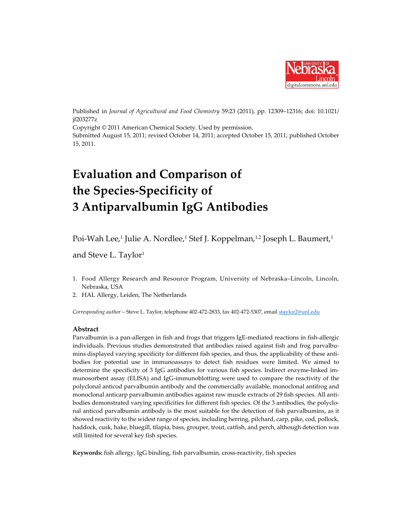

Published in *Journal of Agricultural and Food Chemistry* 59:23 (2011), pp. 12309–12316; doi: 10.1021/ jf203277z

Copyright © 2011 American Chemical Society. Used by permission.

Submitted August 15, 2011; revised October 14, 2011; accepted October 15, 2011; published October 15, 2011.

# **Evaluation and Comparison of the Species-Specificity of 3 Antiparvalbumin IgG Antibodies**

Poi-Wah Lee,<sup>1</sup> Julie A. Nordlee,<sup>1</sup> Stef J. Koppelman,<sup>1,2</sup> Joseph L. Baumert,<sup>1</sup>

and Steve L. Taylor<sup>1</sup>

- 1. Food Allergy Research and Resource Program, University of Nebraska–Lincoln, Lincoln, Nebraska, USA
- 2. HAL Allergy, Leiden, The Netherlands

*Corresponding author* – Steve L. Taylor, telephone 402-472-2833, fax 402-472-5307, emai[l staylor2@unl.edu](mailto:staylor2@unl.edu)

# **Abstract**

Parvalbumin is a pan-allergen in fish and frogs that triggers IgE-mediated reactions in fish-allergic individuals. Previous studies demonstrated that antibodies raised against fish and frog parvalbumins displayed varying specificity for different fish species, and thus, the applicability of these antibodies for potential use in immunoassays to detect fish residues were limited. We aimed to determine the specificity of 3 IgG antibodies for various fish species. Indirect enzyme-linked immunosorbent assay (ELISA) and IgG-immunoblotting were used to compare the reactivity of the polyclonal anticod parvalbumin antibody and the commercially available, monoclonal antifrog and monoclonal anticarp parvalbumin antibodies against raw muscle extracts of 29 fish species. All antibodies demonstrated varying specificities for different fish species. Of the 3 antibodies, the polyclonal anticod parvalbumin antibody is the most suitable for the detection of fish parvalbumins, as it showed reactivity to the widest range of species, including herring, pilchard, carp, pike, cod, pollock, haddock, cusk, hake, bluegill, tilapia, bass, grouper, trout, catfish, and perch, although detection was still limited for several key fish species.

**Keywords:** fish allergy, IgG binding, fish parvalbumin, cross-reactivity, fish species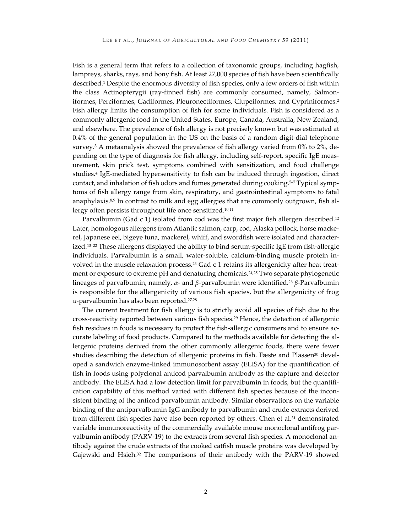Fish is a general term that refers to a collection of taxonomic groups, including hagfish, lampreys, sharks, rays, and bony fish. At least 27,000 species of fish have been scientifically described.1 Despite the enormous diversity of fish species, only a few orders of fish within the class Actinopterygii (ray-finned fish) are commonly consumed, namely, Salmoniformes, Perciformes, Gadiformes, Pleuronectiformes, Clupeiformes, and Cypriniformes.2 Fish allergy limits the consumption of fish for some individuals. Fish is considered as a commonly allergenic food in the United States, Europe, Canada, Australia, New Zealand, and elsewhere. The prevalence of fish allergy is not precisely known but was estimated at 0.4% of the general population in the US on the basis of a random digit-dial telephone survey.<sup>3</sup> A metaanalysis showed the prevalence of fish allergy varied from 0% to 2%, depending on the type of diagnosis for fish allergy, including self-report, specific IgE measurement, skin prick test, symptoms combined with sensitization, and food challenge studies.4 IgE-mediated hypersensitivity to fish can be induced through ingestion, direct contact, and inhalation of fish odors and fumes generated during cooking.<sup>5-7</sup> Typical symptoms of fish allergy range from skin, respiratory, and gastrointestinal symptoms to fatal anaphylaxis.<sup>8,9</sup> In contrast to milk and egg allergies that are commonly outgrown, fish allergy often persists throughout life once sensitized.10,11

Parvalbumin (Gad c 1) isolated from cod was the first major fish allergen described.12 Later, homologous allergens from Atlantic salmon, carp, cod, Alaska pollock, horse mackerel, Japanese eel, bigeye tuna, mackerel, whiff, and swordfish were isolated and characterized.13–22 These allergens displayed the ability to bind serum-specific IgE from fish-allergic individuals. Parvalbumin is a small, water-soluble, calcium-binding muscle protein involved in the muscle relaxation process.<sup>23</sup> Gad c 1 retains its allergenicity after heat treatment or exposure to extreme pH and denaturing chemicals.<sup>24,25</sup> Two separate phylogenetic lineages of parvalbumin, namely, *α*- and *β*-parvalbumin were identified.<sup>26</sup> β-Parvalbumin is responsible for the allergenicity of various fish species, but the allergenicity of frog *α*-parvalbumin has also been reported.27,28

The current treatment for fish allergy is to strictly avoid all species of fish due to the cross-reactivity reported between various fish species.29 Hence, the detection of allergenic fish residues in foods is necessary to protect the fish-allergic consumers and to ensure accurate labeling of food products. Compared to the methods available for detecting the allergenic proteins derived from the other commonly allergenic foods, there were fewer studies describing the detection of allergenic proteins in fish. Fæste and Plassen<sup>30</sup> developed a sandwich enzyme-linked immunosorbent assay (ELISA) for the quantification of fish in foods using polyclonal anticod parvalbumin antibody as the capture and detector antibody. The ELISA had a low detection limit for parvalbumin in foods, but the quantification capability of this method varied with different fish species because of the inconsistent binding of the anticod parvalbumin antibody. Similar observations on the variable binding of the antiparvalbumin IgG antibody to parvalbumin and crude extracts derived from different fish species have also been reported by others. Chen et al.<sup>31</sup> demonstrated variable immunoreactivity of the commercially available mouse monoclonal antifrog parvalbumin antibody (PARV-19) to the extracts from several fish species. A monoclonal antibody against the crude extracts of the cooked catfish muscle proteins was developed by Gajewski and Hsieh.32 The comparisons of their antibody with the PARV-19 showed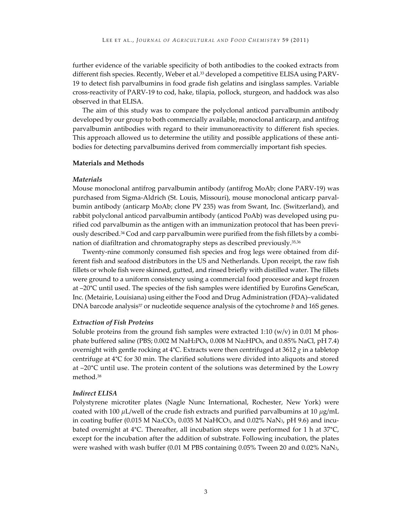further evidence of the variable specificity of both antibodies to the cooked extracts from different fish species. Recently, Weber et al.<sup>33</sup> developed a competitive ELISA using PARV-19 to detect fish parvalbumins in food grade fish gelatins and isinglass samples. Variable cross-reactivity of PARV-19 to cod, hake, tilapia, pollock, sturgeon, and haddock was also observed in that ELISA.

The aim of this study was to compare the polyclonal anticod parvalbumin antibody developed by our group to both commercially available, monoclonal anticarp, and antifrog parvalbumin antibodies with regard to their immunoreactivity to different fish species. This approach allowed us to determine the utility and possible applications of these antibodies for detecting parvalbumins derived from commercially important fish species.

## **Materials and Methods**

#### *Materials*

Mouse monoclonal antifrog parvalbumin antibody (antifrog MoAb; clone PARV-19) was purchased from Sigma-Aldrich (St. Louis, Missouri), mouse monoclonal anticarp parvalbumin antibody (anticarp MoAb; clone PV 235) was from Swant, Inc. (Switzerland), and rabbit polyclonal anticod parvalbumin antibody (anticod PoAb) was developed using purified cod parvalbumin as the antigen with an immunization protocol that has been previously described.34 Cod and carp parvalbumin were purified from the fish fillets by a combination of diafiltration and chromatography steps as described previously.35,36

Twenty-nine commonly consumed fish species and frog legs were obtained from different fish and seafood distributors in the US and Netherlands. Upon receipt, the raw fish fillets or whole fish were skinned, gutted, and rinsed briefly with distilled water. The fillets were ground to a uniform consistency using a commercial food processor and kept frozen at –20°C until used. The species of the fish samples were identified by Eurofins GeneScan, Inc. (Metairie, Louisiana) using either the Food and Drug Administration (FDA)–validated DNA barcode analysis<sup>37</sup> or nucleotide sequence analysis of the cytochrome *b* and 16S genes.

## *Extraction of Fish Proteins*

Soluble proteins from the ground fish samples were extracted  $1:10 \text{ (w/v)}$  in 0.01 M phosphate buffered saline (PBS; 0.002 M NaH2PO4, 0.008 M Na2HPO4, and 0.85% NaCl, pH 7.4) overnight with gentle rocking at 4°C. Extracts were then centrifuged at 3612 *g* in a tabletop centrifuge at 4°C for 30 min. The clarified solutions were divided into aliquots and stored at –20°C until use. The protein content of the solutions was determined by the Lowry method.38

#### *Indirect ELISA*

Polystyrene microtiter plates (Nagle Nunc International, Rochester, New York) were coated with 100 *μ*L/well of the crude fish extracts and purified parvalbumins at 10 *μ*g/mL in coating buffer (0.015 M Na2CO<sub>3</sub>, 0.035 M NaHCO<sub>3</sub>, and 0.02% NaN<sub>3</sub>, pH 9.6) and incubated overnight at 4°C. Thereafter, all incubation steps were performed for 1 h at 37°C, except for the incubation after the addition of substrate. Following incubation, the plates were washed with wash buffer (0.01 M PBS containing 0.05% Tween 20 and 0.02% NaN3,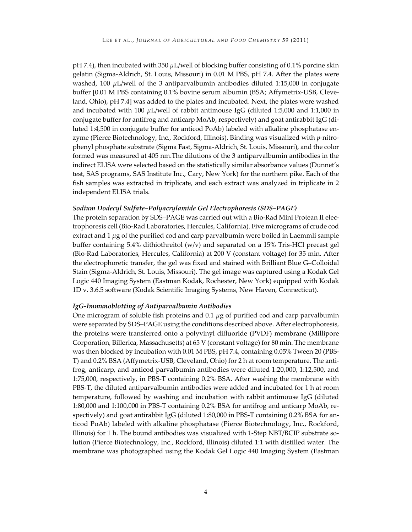pH 7.4), then incubated with 350 *μ*L/well of blocking buffer consisting of 0.1% porcine skin gelatin (Sigma-Aldrich, St. Louis, Missouri) in 0.01 M PBS, pH 7.4. After the plates were washed, 100 *μ*L/well of the 3 antiparvalbumin antibodies diluted 1:15,000 in conjugate buffer [0.01 M PBS containing 0.1% bovine serum albumin (BSA; Affymetrix-USB, Cleveland, Ohio), pH 7.4] was added to the plates and incubated. Next, the plates were washed and incubated with 100 *μ*L/well of rabbit antimouse IgG (diluted 1:5,000 and 1:1,000 in conjugate buffer for antifrog and anticarp MoAb, respectively) and goat antirabbit IgG (diluted 1:4,500 in conjugate buffer for anticod PoAb) labeled with alkaline phosphatase enzyme (Pierce Biotechnology, Inc., Rockford, Illinois). Binding was visualized with *p*-nitrophenyl phosphate substrate (Sigma Fast, Sigma-Aldrich, St. Louis, Missouri), and the color formed was measured at 405 nm.The dilutions of the 3 antiparvalbumin antibodies in the indirect ELISA were selected based on the statistically similar absorbance values (Dunnet's test, SAS programs, SAS Institute Inc., Cary, New York) for the northern pike. Each of the fish samples was extracted in triplicate, and each extract was analyzed in triplicate in 2 independent ELISA trials.

#### *Sodium Dodecyl Sulfate–Polyacrylamide Gel Electrophoresis (SDS–PAGE)*

The protein separation by SDS–PAGE was carried out with a Bio-Rad Mini Protean II electrophoresis cell (Bio-Rad Laboratories, Hercules, California). Five micrograms of crude cod extract and 1 *μ*g of the purified cod and carp parvalbumin were boiled in Laemmli sample buffer containing 5.4% dithiothreitol (w/v) and separated on a 15% Tris-HCl precast gel (Bio-Rad Laboratories, Hercules, California) at 200 V (constant voltage) for 35 min. After the electrophoretic transfer, the gel was fixed and stained with Brilliant Blue G–Colloidal Stain (Sigma-Aldrich, St. Louis, Missouri). The gel image was captured using a Kodak Gel Logic 440 Imaging System (Eastman Kodak, Rochester, New York) equipped with Kodak 1D v. 3.6.5 software (Kodak Scientific Imaging Systems, New Haven, Connecticut).

#### *IgG-Immunoblotting of Antiparvalbumin Antibodies*

One microgram of soluble fish proteins and 0.1 *μ*g of purified cod and carp parvalbumin were separated by SDS–PAGE using the conditions described above. After electrophoresis, the proteins were transferred onto a polyvinyl difluoride (PVDF) membrane (Millipore Corporation, Billerica, Massachusetts) at 65 V (constant voltage) for 80 min. The membrane was then blocked by incubation with 0.01 M PBS, pH 7.4, containing 0.05% Tween 20 (PBS-T) and 0.2% BSA (Affymetrix-USB, Cleveland, Ohio) for 2 h at room temperature. The antifrog, anticarp, and anticod parvalbumin antibodies were diluted 1:20,000, 1:12,500, and 1:75,000, respectively, in PBS-T containing 0.2% BSA. After washing the membrane with PBS-T, the diluted antiparvalbumin antibodies were added and incubated for 1 h at room temperature, followed by washing and incubation with rabbit antimouse IgG (diluted 1:80,000 and 1:100,000 in PBS-T containing 0.2% BSA for antifrog and anticarp MoAb, respectively) and goat antirabbit IgG (diluted 1:80,000 in PBS-T containing 0.2% BSA for anticod PoAb) labeled with alkaline phosphatase (Pierce Biotechnology, Inc., Rockford, Illinois) for 1 h. The bound antibodies was visualized with 1-Step NBT/BCIP substrate solution (Pierce Biotechnology, Inc., Rockford, Illinois) diluted 1:1 with distilled water. The membrane was photographed using the Kodak Gel Logic 440 Imaging System (Eastman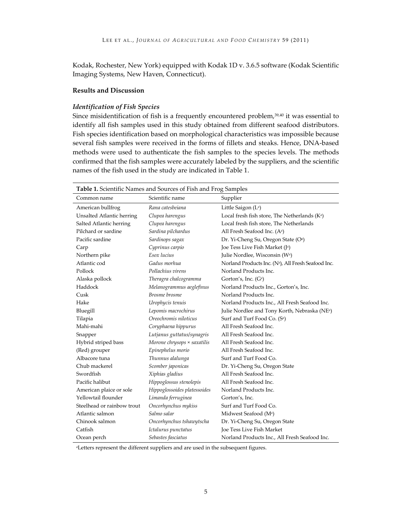Kodak, Rochester, New York) equipped with Kodak 1D v. 3.6.5 software (Kodak Scientific Imaging Systems, New Haven, Connecticut).

# **Results and Discussion**

# *Identification of Fish Species*

Since misidentification of fish is a frequently encountered problem,<sup>39,40</sup> it was essential to identify all fish samples used in this study obtained from different seafood distributors. Fish species identification based on morphological characteristics was impossible because several fish samples were received in the forms of fillets and steaks. Hence, DNA-based methods were used to authenticate the fish samples to the species levels. The methods confirmed that the fish samples were accurately labeled by the suppliers, and the scientific names of the fish used in the study are indicated in Table 1.

| Table 1. Scientific Names and Sources of Fish and Frog Samples |                              |                                                                 |  |  |  |  |  |  |  |  |  |  |
|----------------------------------------------------------------|------------------------------|-----------------------------------------------------------------|--|--|--|--|--|--|--|--|--|--|
| Common name                                                    | Scientific name              | Supplier                                                        |  |  |  |  |  |  |  |  |  |  |
| American bullfrog                                              | Rana catesheiana             | Little Saigon (L <sup>a</sup> )                                 |  |  |  |  |  |  |  |  |  |  |
| Unsalted Atlantic herring                                      | Clupea harengus              | Local fresh fish store, The Netherlands $(Ka)$                  |  |  |  |  |  |  |  |  |  |  |
| Salted Atlantic herring                                        | Clupea harengus              | Local fresh fish store, The Netherlands                         |  |  |  |  |  |  |  |  |  |  |
| Pilchard or sardine                                            | Sardina pilchardus           | All Fresh Seafood Inc. (A <sup>a</sup> )                        |  |  |  |  |  |  |  |  |  |  |
| Pacific sardine                                                | Sardinops sagax              | Dr. Yi-Cheng Su, Oregon State (O <sup>a</sup> )                 |  |  |  |  |  |  |  |  |  |  |
| Carp                                                           | Cyprinus carpio              | Joe Tess Live Fish Market (J <sup>a</sup> )                     |  |  |  |  |  |  |  |  |  |  |
| Northern pike                                                  | Esox lucius                  | Julie Nordlee, Wisconsin (W <sup>a</sup> )                      |  |  |  |  |  |  |  |  |  |  |
| Atlantic cod                                                   | Gadus morhua                 | Norland Products Inc. (N <sup>a</sup> ), All Fresh Seafood Inc. |  |  |  |  |  |  |  |  |  |  |
| Pollock                                                        | Pollachius virens            | Norland Products Inc.                                           |  |  |  |  |  |  |  |  |  |  |
| Alaska pollock                                                 | Theragra chalcogramma        | Gorton's, Inc. $(G^a)$                                          |  |  |  |  |  |  |  |  |  |  |
| Haddock                                                        | Melanogrammus aeglefinus     | Norland Products Inc., Gorton's, Inc.                           |  |  |  |  |  |  |  |  |  |  |
| Cusk                                                           | Brosme brosme                | Norland Products Inc.                                           |  |  |  |  |  |  |  |  |  |  |
| Hake                                                           | Urophycis tenuis             | Norland Products Inc., All Fresh Seafood Inc.                   |  |  |  |  |  |  |  |  |  |  |
| Bluegill                                                       | Lepomis macrochirus          | Julie Nordlee and Tony Korth, Nebraska (NE <sup>a</sup> )       |  |  |  |  |  |  |  |  |  |  |
| Tilapia                                                        | Oreochromis niloticus        | Surf and Turf Food Co. (S <sup>a</sup> )                        |  |  |  |  |  |  |  |  |  |  |
| Mahi-mahi                                                      | Coryphaena hippurus          | All Fresh Seafood Inc.                                          |  |  |  |  |  |  |  |  |  |  |
| Snapper                                                        | Lutjanus guttatus/synagris   | All Fresh Seafood Inc.                                          |  |  |  |  |  |  |  |  |  |  |
| Hybrid striped bass                                            | Morone chrysops × saxatilis  | All Fresh Seafood Inc.                                          |  |  |  |  |  |  |  |  |  |  |
| (Red) grouper                                                  | Epinephelus morio            | All Fresh Seafood Inc.                                          |  |  |  |  |  |  |  |  |  |  |
| Albacore tuna                                                  | Thunnus alalunga             | Surf and Turf Food Co.                                          |  |  |  |  |  |  |  |  |  |  |
| Chub mackerel                                                  | Scomber japonicas            | Dr. Yi-Cheng Su, Oregon State                                   |  |  |  |  |  |  |  |  |  |  |
| Swordfish                                                      | Xiphias gladius              | All Fresh Seafood Inc.                                          |  |  |  |  |  |  |  |  |  |  |
| Pacific halibut                                                | Hippoglossus stenolepis      | All Fresh Seafood Inc.                                          |  |  |  |  |  |  |  |  |  |  |
| American plaice or sole                                        | Hippoglossoides platessoides | Norland Products Inc.                                           |  |  |  |  |  |  |  |  |  |  |
| Yellowtail flounder                                            | Limanda ferruginea           | Gorton's, Inc.                                                  |  |  |  |  |  |  |  |  |  |  |
| Steelhead or rainbow trout                                     | Oncorhynchus mykiss          | Surf and Turf Food Co.                                          |  |  |  |  |  |  |  |  |  |  |
| Atlantic salmon                                                | Salmo salar                  | Midwest Seafood (M <sup>a</sup> )                               |  |  |  |  |  |  |  |  |  |  |
| Chinook salmon                                                 | Oncorhynchus tshawytscha     | Dr. Yi-Cheng Su, Oregon State                                   |  |  |  |  |  |  |  |  |  |  |
| Catfish                                                        | Ictalurus punctatus          | Joe Tess Live Fish Market                                       |  |  |  |  |  |  |  |  |  |  |
| Ocean perch                                                    | Sebastes fasciatus           | Norland Products Inc., All Fresh Seafood Inc.                   |  |  |  |  |  |  |  |  |  |  |

*a*Letters represent the different suppliers and are used in the subsequent figures.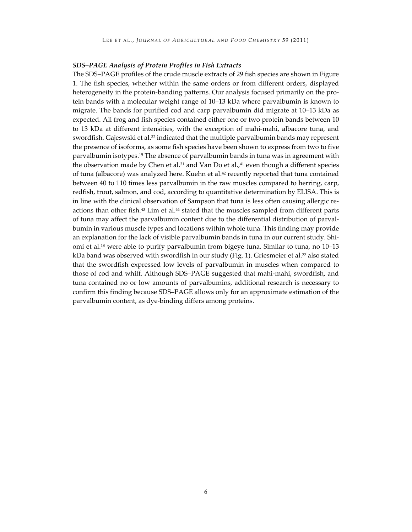#### *SDS–PAGE Analysis of Protein Profiles in Fish Extracts*

The SDS–PAGE profiles of the crude muscle extracts of 29 fish species are shown in Figure 1. The fish species, whether within the same orders or from different orders, displayed heterogeneity in the protein-banding patterns. Our analysis focused primarily on the protein bands with a molecular weight range of 10–13 kDa where parvalbumin is known to migrate. The bands for purified cod and carp parvalbumin did migrate at 10–13 kDa as expected. All frog and fish species contained either one or two protein bands between 10 to 13 kDa at different intensities, with the exception of mahi-mahi, albacore tuna, and swordfish. Gajeswski et al.<sup>32</sup> indicated that the multiple parvalbumin bands may represent the presence of isoforms, as some fish species have been shown to express from two to five parvalbumin isotypes.15 The absence of parvalbumin bands in tuna was in agreement with the observation made by Chen et al.<sup>31</sup> and Van Do et al.,<sup>41</sup> even though a different species of tuna (albacore) was analyzed here. Kuehn et al.<sup>42</sup> recently reported that tuna contained between 40 to 110 times less parvalbumin in the raw muscles compared to herring, carp, redfish, trout, salmon, and cod, according to quantitative determination by ELISA. This is in line with the clinical observation of Sampson that tuna is less often causing allergic reactions than other fish. $43$  Lim et al. $44$  stated that the muscles sampled from different parts of tuna may affect the parvalbumin content due to the differential distribution of parvalbumin in various muscle types and locations within whole tuna. This finding may provide an explanation for the lack of visible parvalbumin bands in tuna in our current study. Shiomi et al.18 were able to purify parvalbumin from bigeye tuna. Similar to tuna, no 10–13 kDa band was observed with swordfish in our study (Fig. 1). Griesmeier et al.<sup>22</sup> also stated that the swordfish expressed low levels of parvalbumin in muscles when compared to those of cod and whiff. Although SDS–PAGE suggested that mahi-mahi, swordfish, and tuna contained no or low amounts of parvalbumins, additional research is necessary to confirm this finding because SDS–PAGE allows only for an approximate estimation of the parvalbumin content, as dye-binding differs among proteins.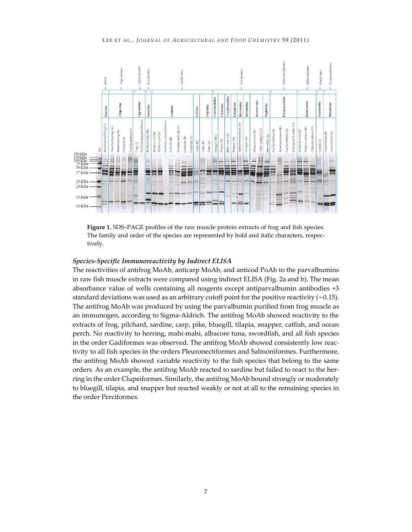#### LEE ET AL., *JOURNAL OF AGRICULTURAL AND FOOD CHEMISTRY* 59 (2011)



**Figure 1.** SDS–PAGE profiles of the raw muscle protein extracts of frog and fish species. The family and order of the species are represented by bold and italic characters, respectively.

# *Species-Specific Immunoreactivity by Indirect ELISA*

The reactivities of antifrog MoAb, anticarp MoAb, and anticod PoAb to the parvalbumins in raw fish muscle extracts were compared using indirect ELISA (Fig. 2a and b). The mean absorbance value of wells containing all reagents except antiparvalbumin antibodies +3 standard deviations was used as an arbitrary cutoff point for the positive reactivity (∼0.15). The antifrog MoAb was produced by using the parvalbumin purified from frog muscle as an immunogen, according to Sigma-Aldrich. The antifrog MoAb showed reactivity to the extracts of frog, pilchard, sardine, carp, pike, bluegill, tilapia, snapper, catfish, and ocean perch. No reactivity to herring, mahi-mahi, albacore tuna, swordfish, and all fish species in the order Gadiformes was observed. The antifrog MoAb showed consistently low reactivity to all fish species in the orders Pleuronectiformes and Salmoniformes. Furthermore, the antifrog MoAb showed variable reactivity to the fish species that belong to the same orders. As an example, the antifrog MoAb reacted to sardine but failed to react to the herring in the order Clupeiformes. Similarly, the antifrog MoAb bound strongly or moderately to bluegill, tilapia, and snapper but reacted weakly or not at all to the remaining species in the order Perciformes.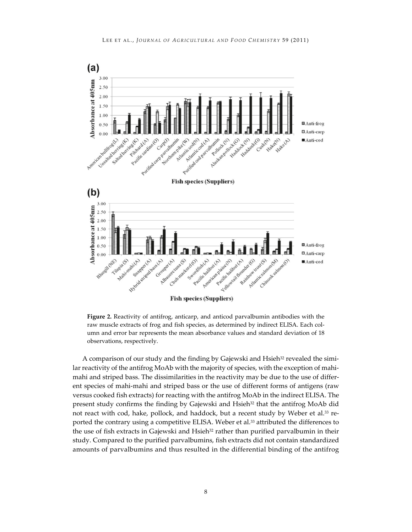

**Figure 2.** Reactivity of antifrog, anticarp, and anticod parvalbumin antibodies with the raw muscle extracts of frog and fish species, as determined by indirect ELISA. Each column and error bar represents the mean absorbance values and standard deviation of 18 observations, respectively.

A comparison of our study and the finding by Gajewski and Hsieh<sup>32</sup> revealed the similar reactivity of the antifrog MoAb with the majority of species, with the exception of mahimahi and striped bass. The dissimilarities in the reactivity may be due to the use of different species of mahi-mahi and striped bass or the use of different forms of antigens (raw versus cooked fish extracts) for reacting with the antifrog MoAb in the indirect ELISA. The present study confirms the finding by Gajewski and Hsieh<sup>32</sup> that the antifrog MoAb did not react with cod, hake, pollock, and haddock, but a recent study by Weber et al.33 reported the contrary using a competitive ELISA. Weber et al.<sup>33</sup> attributed the differences to the use of fish extracts in Gajewski and Hsieh<sup>32</sup> rather than purified parvalbumin in their study. Compared to the purified parvalbumins, fish extracts did not contain standardized amounts of parvalbumins and thus resulted in the differential binding of the antifrog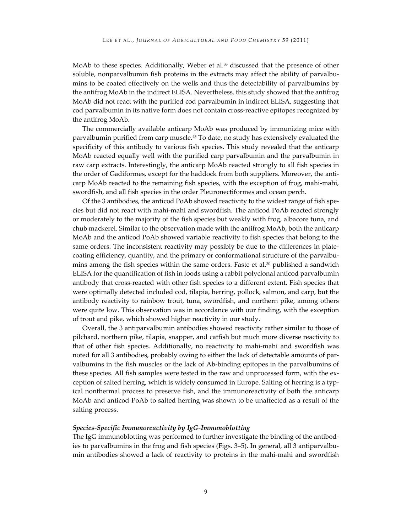MoAb to these species. Additionally, Weber et al.<sup>33</sup> discussed that the presence of other soluble, nonparvalbumin fish proteins in the extracts may affect the ability of parvalbumins to be coated effectively on the wells and thus the detectability of parvalbumins by the antifrog MoAb in the indirect ELISA. Nevertheless, this study showed that the antifrog MoAb did not react with the purified cod parvalbumin in indirect ELISA, suggesting that cod parvalbumin in its native form does not contain cross-reactive epitopes recognized by the antifrog MoAb.

The commercially available anticarp MoAb was produced by immunizing mice with parvalbumin purified from carp muscle.45 To date, no study has extensively evaluated the specificity of this antibody to various fish species. This study revealed that the anticarp MoAb reacted equally well with the purified carp parvalbumin and the parvalbumin in raw carp extracts. Interestingly, the anticarp MoAb reacted strongly to all fish species in the order of Gadiformes, except for the haddock from both suppliers. Moreover, the anticarp MoAb reacted to the remaining fish species, with the exception of frog, mahi-mahi, swordfish, and all fish species in the order Pleuronectiformes and ocean perch.

Of the 3 antibodies, the anticod PoAb showed reactivity to the widest range of fish species but did not react with mahi-mahi and swordfish. The anticod PoAb reacted strongly or moderately to the majority of the fish species but weakly with frog, albacore tuna, and chub mackerel. Similar to the observation made with the antifrog MoAb, both the anticarp MoAb and the anticod PoAb showed variable reactivity to fish species that belong to the same orders. The inconsistent reactivity may possibly be due to the differences in platecoating efficiency, quantity, and the primary or conformational structure of the parvalbumins among the fish species within the same orders. Faste et al.<sup>30</sup> published a sandwich ELISA for the quantification of fish in foods using a rabbit polyclonal anticod parvalbumin antibody that cross-reacted with other fish species to a different extent. Fish species that were optimally detected included cod, tilapia, herring, pollock, salmon, and carp, but the antibody reactivity to rainbow trout, tuna, swordfish, and northern pike, among others were quite low. This observation was in accordance with our finding, with the exception of trout and pike, which showed higher reactivity in our study.

Overall, the 3 antiparvalbumin antibodies showed reactivity rather similar to those of pilchard, northern pike, tilapia, snapper, and catfish but much more diverse reactivity to that of other fish species. Additionally, no reactivity to mahi-mahi and swordfish was noted for all 3 antibodies, probably owing to either the lack of detectable amounts of parvalbumins in the fish muscles or the lack of Ab-binding epitopes in the parvalbumins of these species. All fish samples were tested in the raw and unprocessed form, with the exception of salted herring, which is widely consumed in Europe. Salting of herring is a typical nonthermal process to preserve fish, and the immunoreactivity of both the anticarp MoAb and anticod PoAb to salted herring was shown to be unaffected as a result of the salting process.

# *Species-Specific Immunoreactivity by IgG-Immunoblotting*

The IgG immunoblotting was performed to further investigate the binding of the antibodies to parvalbumins in the frog and fish species (Figs. 3–5). In general, all 3 antiparvalbumin antibodies showed a lack of reactivity to proteins in the mahi-mahi and swordfish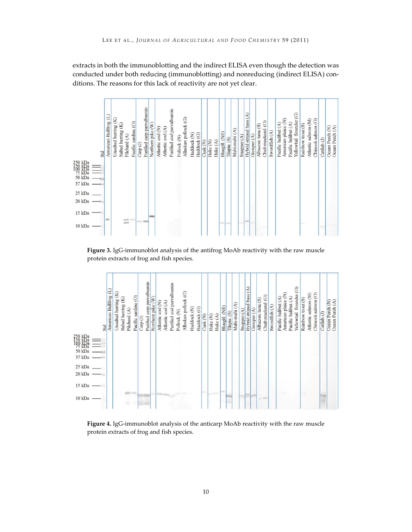extracts in both the immunoblotting and the indirect ELISA even though the detection was conducted under both reducing (immunoblotting) and nonreducing (indirect ELISA) conditions. The reasons for this lack of reactivity are not yet clear.

| Std                                                          | American Bullfrog (L) | Unsalted herring (K) | Salted herring (K) | Pilchard (A) | Pacific sardine (O) | Purified carp parvalbumin<br>Carp(J) | Northern pike (W) | Atlantic cod (N) | Atlantic cod (A) | Purified cod parvalbumin | Pollock <sub>(N)</sub> | Allaskan pollock (G) | Haddock <sub>(N)</sub> | Haddock (G) | Cusk (N) | Hake (N) | Hake (A) | Bluegill (NE) | Tilapia (S) | Mahi-mahi (A) | Snapper (A) | ⋜<br>Hybrid striped bass ( | Grouper (A) | Albacore tuna (S) | Chub mackerel (O) | Swordfish (A) | Pacific halibut (A) | American plaice (N) | Pacific halibut (A) | Yellowtail flounder (G) | Rainbow trout (S) | Atlantic salmon (M) | Chinook salmon (O) | Catfish (J) | Ocean Perch (N)<br>Ocean Perch (A) |  |
|--------------------------------------------------------------|-----------------------|----------------------|--------------------|--------------|---------------------|--------------------------------------|-------------------|------------------|------------------|--------------------------|------------------------|----------------------|------------------------|-------------|----------|----------|----------|---------------|-------------|---------------|-------------|----------------------------|-------------|-------------------|-------------------|---------------|---------------------|---------------------|---------------------|-------------------------|-------------------|---------------------|--------------------|-------------|------------------------------------|--|
| $^{250}_{150}_{75}$<br>kDa<br>KDa<br>KDa<br>50 kDa<br>37 kDa |                       |                      |                    |              |                     |                                      |                   |                  |                  |                          |                        |                      |                        |             |          |          |          |               |             |               |             |                            |             |                   |                   |               |                     |                     |                     |                         |                   |                     |                    |             |                                    |  |
| 25 kDa                                                       |                       |                      |                    |              |                     |                                      |                   |                  |                  |                          |                        |                      |                        |             |          |          |          |               |             |               |             |                            |             |                   |                   |               |                     |                     |                     |                         |                   |                     |                    |             |                                    |  |
| 20 kDa<br>15 kDa                                             |                       |                      |                    |              |                     |                                      |                   |                  |                  |                          |                        |                      |                        |             |          |          |          |               |             |               |             |                            |             |                   |                   |               |                     |                     |                     |                         |                   |                     |                    |             |                                    |  |
| 10 kDa                                                       |                       |                      |                    | sent of      |                     |                                      |                   |                  |                  |                          |                        |                      |                        |             |          |          |          |               |             |               |             |                            |             |                   |                   |               |                     |                     |                     |                         |                   |                     |                    |             |                                    |  |

**Figure 3.** IgG-immunoblot analysis of the antifrog MoAb reactivity with the raw muscle protein extracts of frog and fish species.



**Figure 4.** IgG-immunoblot analysis of the anticarp MoAb reactivity with the raw muscle protein extracts of frog and fish species.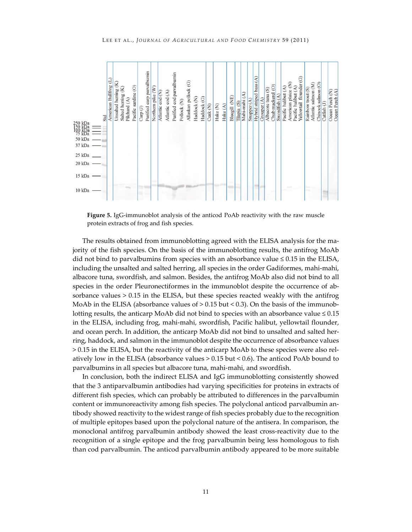#### LEE ET AL., *JOURNAL OF AGRICULTURAL AND FOOD CHEMISTRY* 59 (2011)

| 250<br>150<br>100<br>75<br>50 kDa<br>37 kDa | Std | American Bullfrog (L) | Unsalted herring (K) | Salted herring (K) | Pilchard (A) | Pacific sardine (O) | Carp(J) | Purified carp parvalbumin | Northern pike (W) | Atlantic cod (N) | Atlantic cod (A) | Purified cod parvalbumin | Pollock <sub>(N)</sub> | Allaskan pollock (G) | Haddock <sub>(N)</sub> | Haddock (G) | Cusk (N) | Hake (N) | Hake (A) | Bluegill (NE) | Tilapia (S) | Mahi-mahi (A) | Snapper (A) | Hybrid striped bass (A) | Grouper(A) | Albacore tuna (S) | Chub mackerel (O)<br>Swordfish $(A)$ | Pacific halibut (A) | American plaice (N) | Pacific halibut (A) | Yellowtail flounder (G) | Rainbow trout (S) | Atlantic salmon (M)<br>Chinook salmon (O) | Catfish <sup>(J)</sup> | Ocean Perch (N) | Ocean Perch (A) |
|---------------------------------------------|-----|-----------------------|----------------------|--------------------|--------------|---------------------|---------|---------------------------|-------------------|------------------|------------------|--------------------------|------------------------|----------------------|------------------------|-------------|----------|----------|----------|---------------|-------------|---------------|-------------|-------------------------|------------|-------------------|--------------------------------------|---------------------|---------------------|---------------------|-------------------------|-------------------|-------------------------------------------|------------------------|-----------------|-----------------|
| 25 kDa                                      |     |                       |                      |                    |              |                     |         |                           |                   |                  |                  |                          |                        |                      |                        |             |          |          |          |               |             |               |             |                         |            |                   |                                      |                     |                     |                     |                         |                   |                                           |                        |                 |                 |
| 20 kDa                                      |     |                       |                      |                    |              |                     |         |                           |                   |                  |                  |                          |                        |                      |                        |             |          |          |          |               |             |               |             |                         |            |                   |                                      |                     |                     |                     |                         |                   |                                           |                        |                 |                 |
| 15 kDa                                      |     |                       |                      |                    |              |                     |         |                           |                   |                  |                  |                          |                        |                      |                        |             |          |          |          |               |             |               |             |                         |            |                   |                                      |                     |                     |                     |                         |                   |                                           |                        |                 |                 |
| 10 kDa                                      |     |                       |                      |                    |              |                     |         |                           |                   |                  |                  |                          |                        |                      |                        |             |          |          |          |               |             |               |             |                         |            |                   |                                      |                     |                     |                     |                         |                   |                                           |                        |                 |                 |

**Figure 5.** IgG-immunoblot analysis of the anticod PoAb reactivity with the raw muscle protein extracts of frog and fish species.

The results obtained from immunoblotting agreed with the ELISA analysis for the majority of the fish species. On the basis of the immunoblotting results, the antifrog MoAb did not bind to parvalbumins from species with an absorbance value  $\leq 0.15$  in the ELISA, including the unsalted and salted herring, all species in the order Gadiformes, mahi-mahi, albacore tuna, swordfish, and salmon. Besides, the antifrog MoAb also did not bind to all species in the order Pleuronectiformes in the immunoblot despite the occurrence of absorbance values > 0.15 in the ELISA, but these species reacted weakly with the antifrog MoAb in the ELISA (absorbance values of  $> 0.15$  but  $< 0.3$ ). On the basis of the immunoblotting results, the anticarp MoAb did not bind to species with an absorbance value  $\leq 0.15$ in the ELISA, including frog, mahi-mahi, swordfish, Pacific halibut, yellowtail flounder, and ocean perch. In addition, the anticarp MoAb did not bind to unsalted and salted herring, haddock, and salmon in the immunoblot despite the occurrence of absorbance values > 0.15 in the ELISA, but the reactivity of the anticarp MoAb to these species were also relatively low in the ELISA (absorbance values  $> 0.15$  but  $< 0.6$ ). The anticod PoAb bound to parvalbumins in all species but albacore tuna, mahi-mahi, and swordfish.

In conclusion, both the indirect ELISA and IgG immunoblotting consistently showed that the 3 antiparvalbumin antibodies had varying specificities for proteins in extracts of different fish species, which can probably be attributed to differences in the parvalbumin content or immunoreactivity among fish species. The polyclonal anticod parvalbumin antibody showed reactivity to the widest range of fish species probably due to the recognition of multiple epitopes based upon the polyclonal nature of the antisera. In comparison, the monoclonal antifrog parvalbumin antibody showed the least cross-reactivity due to the recognition of a single epitope and the frog parvalbumin being less homologous to fish than cod parvalbumin. The anticod parvalbumin antibody appeared to be more suitable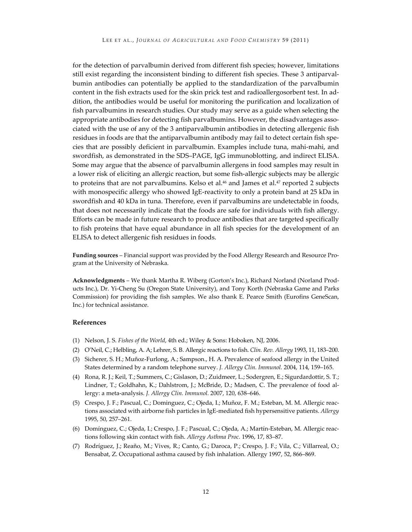for the detection of parvalbumin derived from different fish species; however, limitations still exist regarding the inconsistent binding to different fish species. These 3 antiparvalbumin antibodies can potentially be applied to the standardization of the parvalbumin content in the fish extracts used for the skin prick test and radioallergosorbent test. In addition, the antibodies would be useful for monitoring the purification and localization of fish parvalbumins in research studies. Our study may serve as a guide when selecting the appropriate antibodies for detecting fish parvalbumins. However, the disadvantages associated with the use of any of the 3 antiparvalbumin antibodies in detecting allergenic fish residues in foods are that the antiparvalbumin antibody may fail to detect certain fish species that are possibly deficient in parvalbumin. Examples include tuna, mahi-mahi, and swordfish, as demonstrated in the SDS–PAGE, IgG immunoblotting, and indirect ELISA. Some may argue that the absence of parvalbumin allergens in food samples may result in a lower risk of eliciting an allergic reaction, but some fish-allergic subjects may be allergic to proteins that are not parvalbumins. Kelso et al.<sup>46</sup> and James et al.<sup>47</sup> reported 2 subjects with monospecific allergy who showed IgE-reactivity to only a protein band at 25 kDa in swordfish and 40 kDa in tuna. Therefore, even if parvalbumins are undetectable in foods, that does not necessarily indicate that the foods are safe for individuals with fish allergy. Efforts can be made in future research to produce antibodies that are targeted specifically to fish proteins that have equal abundance in all fish species for the development of an ELISA to detect allergenic fish residues in foods.

**Funding sources** – Financial support was provided by the Food Allergy Research and Resource Program at the University of Nebraska.

**Acknowledgments** – We thank Martha R. Wiberg (Gorton's Inc.), Richard Norland (Norland Products Inc.), Dr. Yi-Cheng Su (Oregon State University), and Tony Korth (Nebraska Game and Parks Commission) for providing the fish samples. We also thank E. Pearce Smith (Eurofins GeneScan, Inc.) for technical assistance.

## **References**

- (1) Nelson, J. S. *Fishes of the World*, 4th ed.; Wiley & Sons: Hoboken, NJ, 2006.
- (2) O'Neil, C.; Helbling, A. A; Lehrer, S. B. Allergic reactions to fish. *Clin. Rev. Allergy* 1993, 11, 183–200.
- (3) Sicherer, S. H.; Muñoz-Furlong, A.; Sampson., H. A. Prevalence of seafood allergy in the United States determined by a random telephone survey. *J. Allergy Clin. Immunol.* 2004, 114, 159–165.
- (4) Rona, R. J.; Keil, T.; Summers, C.; Gislason, D.; Zuidmeer, L.; Sodergren, E.; Sigurdardottir, S. T.; Lindner, T.; Goldhahn, K.; Dahlstrom, J.; McBride, D.; Madsen, C. The prevalence of food allergy: a meta-analysis. *J. Allergy Clin. Immunol.* 2007, 120, 638–646.
- (5) Crespo, J. F.; Pascual, C.; Dominguez, C.; Ojeda, I.; Muñoz, F. M.; Esteban, M. M. Allergic reactions associated with airborne fish particles in IgE-mediated fish hypersensitive patients. *Allergy* 1995, 50, 257–261.
- (6) Domínguez, C.; Ojeda, I.; Crespo, J. F.; Pascual, C.; Ojeda, A.; Martín-Esteban, M. Allergic reactions following skin contact with fish. *Allergy Asthma Proc.* 1996, 17, 83–87.
- (7) Rodríguez, J.; Reaño, M.; Vives, R.; Canto, G.; Daroca, P.; Crespo, J. F.; Vila, C.; Villarreal, O.; Bensabat, Z. Occupational asthma caused by fish inhalation. Allergy 1997, 52, 866–869.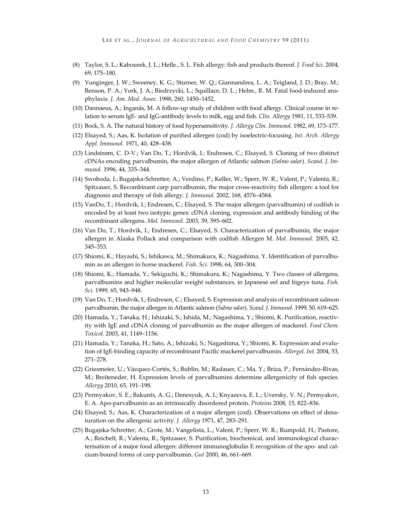- (8) Taylor, S. L.; Kabourek, J. L.; Hefle., S. L. Fish allergy: fish and products thereof. *J. Food Sci.* 2004, 69, 175–180.
- (9) Yunginger, J. W.; Sweeney, K. G.; Sturner, W. Q.; Giannandrea, L. A.; Teigland, J. D.; Bray, M.; Benson, P. A.; York, J. A.; Biedrzycki, L.; Squillace, D. L.; Helm., R. M. Fatal food-induced anaphylaxis. *J. Am. Med. Assoc.* 1988, 260, 1450–1452.
- (10) Dannaeus, A.; Inganäs, M. A follow-up study of children with food allergy. Clinical course in relation to serum IgE- and IgG-antibody levels to milk, egg and fish. *Clin. Allergy* 1981, 11, 533–539.
- (11) Bock, S. A. The natural history of food hypersensitivity. *J. Allergy Clin. Immunol.* 1982, 69, 173–177.
- (12) Elsayed, S.; Aas, K. Isolation of purified allergen (cod) by isoelectric-focusing. *Int. Arch. Allergy Appl. Immunol.* 1971, 40, 428–438.
- (13) Lindstrøm, C. D-V.; Van Do, T.; Hordvik, I.; Endresen, C.; Elsayed, S. Cloning of two distinct cDNAs encoding parvalbumin, the major allergen of Atlantic salmon (*Salmo salar*). *Scand. J. Immunol.* 1996, 44, 335–344.
- (14) Swoboda, I.; Bugajska-Schretter, A.; Verdino, P.; Keller, W.; Sperr, W. R.; Valent, P.; Valenta, R.; Spitzauer, S. Recombinant carp parvalbumin, the major cross-reactivity fish allergen: a tool for diagnosis and therapy of fish allergy. *J. Immunol.* 2002, 168, 4576–4584.
- (15) VanDo, T.; Hordvik, I.; Endresen, C.; Elsayed, S. The major allergen (parvalbumin) of codfish is encoded by at least two isotypic genes: cDNA cloning, expression and antibody binding of the recombinant allergens. *Mol. Immunol.* 2003, 39, 595–602.
- (16) Van Do, T.; Hordvik, I.; Endresen, C.; Elsayed, S. Characterization of parvalbumin, the major allergen in Alaska Pollack and comparison with codfish Allergen M. *Mol. Immunol.* 2005, 42, 345–353.
- (17) Shiomi, K.; Hayashi, S.; Ishikawa, M.; Shimakura, K.; Nagashima, Y. Identification of parvalbumin as an allergen in horse mackerel. *Fish. Sci.* 1998, 64, 300–304.
- (18) Shiomi, K.; Hamada, Y.; Sekiguchi, K.; Shimakura, K.; Nagashima, Y. Two classes of allergens, parvalbumins and higher molecular weight substances, in Japanese eel and bigeye tuna. *Fish. Sci.* 1999, 65, 943–948.
- (19) Van Do, T.; Hordvik, I.; Endresen, C.; Elsayed, S. Expression and analysis of recombinant salmon parvalbumin, the major allergen in Atlantic salmon (*Salmo salar*). *Scand. J. Immunol.* 1999, 50, 619–625.
- (20) Hamada, Y.; Tanaka, H.; Ishizaki, S.; Ishida, M.; Nagashima, Y.; Shiomi, K. Purification, reactivity with IgE and cDNA cloning of parvalbumin as the major allergen of mackerel. *Food Chem. Toxicol.* 2003, 41, 1149–1156.
- (21) Hamada, Y.; Tanaka, H.; Sato, A.; Ishizaki, S.; Nagashima, Y.; Shiomi, K. Expression and evalution of IgE-binding capacity of recombinant Pacific mackerel parvalbumin. *Allergol. Int.* 2004, 53, 271–278.
- (22) Griesmeier, U.; Vázquez-Cortés, S.; Bublin, M.; Radauer, C.; Ma, Y.; Briza, P.; Fernández-Rivas, M.; Breiteneder, H. Expression levels of parvalbumins determine allergenicity of fish species. *Allergy* 2010, 65, 191–198.
- (23) Permyakov, S. E.; Bakunts, A. G.; Denesyuk, A. I.; Knyazeva, E. L.; Uversky, V. N.; Permyakov, E. A. Apo-parvalbumin as an intrinsically disordered protein. *Proteins* 2008, 15, 822–836.
- (24) Elsayed, S.; Aas, K. Characterization of a major allergen (cod). Observations on effect of denaturation on the allergenic activity. *J. Allergy* 1971, 47, 283–291.
- (25) Bugajska-Schretter, A.; Grote, M.; Vangelista, L.; Valent, P.; Sperr, W. R.; Rumpold, H.; Pastore, A.; Reichelt, R.; Valenta, R.; Spitzauer, S. Purification, biochemical, and immunological characterisation of a major food allergen: different immunoglobulin E recognition of the apo- and calcium-bound forms of carp parvalbumin. *Gut* 2000, 46, 661–669.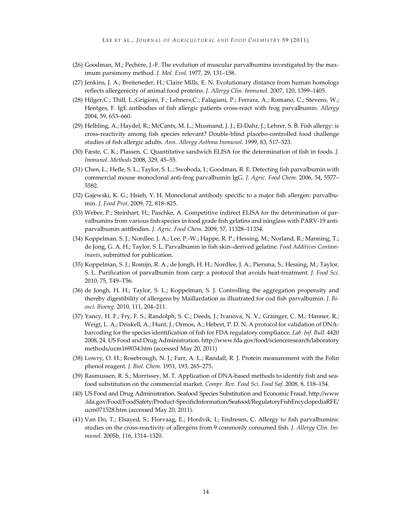- (26) Goodman, M.; Pechére, J.-F. The evolution of muscular parvalbumins investigated by the maximum parsimony method. *J. Mol. Evol.* 1977, 29, 131–158.
- (27) Jenkins, J. A.; Breiteneder, H.; Claire Mills, E. N. Evolutionary distance from human homologs reflects allergenicity of animal food proteins. *J. Allergy Clin. Immunol.* 2007, 120, 1399–1405.
- (28) Hilger,C.; Thill, L.;Grigioni, F.; Lehners,C.; Falagiani, P.; Ferrara, A.; Romano, C.; Stevens, W.; Hentges, F. IgE antibodies of fish allergic patients cross-react with frog parvalbumin. *Allergy* 2004, 59, 653–660.
- (29) Helbling, A.; Haydel, R.; McCants, M. L.; Musmand, J. J.; El-Dahr, J.; Lehrer, S. B. Fish allergy: is cross-reactivity among fish species relevant? Double-blind placebo-controlled food challenge studies of fish allergic adults. *Ann. Allergy Asthma Immunol.* 1999, 83, 517–523.
- (30) Fæste, C. K.; Plassen, C. Quantitative sandwich ELISA for the determination of fish in foods. *J. Immunol. Methods* 2008, 329, 45–55.
- (31) Chen, L.; Hefle, S. L.; Taylor, S. L.; Swoboda, I.; Goodman, R. E. Detecting fish parvalbumin with commercial mouse monoclonal anti-frog parvalbumin IgG. *J. Agric. Food Chem.* 2006, 54, 5577– 5582.
- (32) Gajewski, K. G.; Hsieh, Y. H. Monoclonal antibody specific to a major fish allergen: parvalbumin. *J. Food Prot.* 2009, 72, 818–825.
- (33) Weber, P.; Steinhart, H.; Paschke, A. Competitive indirect ELISA for the determination of parvalbumins from various fish species in food grade fish gelatins and isinglass with PARV-19 antiparvalbumin antibodies. *J. Agric. Food Chem.* 2009, 57, 11328–11334.
- (34) Koppelman, S. J.; Nordlee, J. A.; Lee, P.-W.; Happe, R. P.; Hessing, M.; Norland, R.; Manning, T.; de Jong, G. A. H.; Taylor, S. L. Parvalbumin in fish skin–derived gelatine. *Food Additives Contaminants*, submitted for publication.
- (35) Koppelman, S. J.; Romijn, R. A.; de Jongh, H. H.; Nordlee, J. A.; Piersma, S.; Hessing, M.; Taylor, S. L. Purification of parvalbumin from carp: a protocol that avoids heat-treatment. *J. Food Sci.* 2010, 75, T49–T56.
- (36) de Jongh, H. H.; Taylor, S. L.; Koppelman, S. J. Controlling the aggregation propensity and thereby digestibility of allergens by Maillardation as illustrated for cod fish parvalbumin. *J. Biosci. Bioeng.* 2010, 111, 204–211.
- (37) Yancy, H. F.; Fry, F. S.; Randolph, S. C.; Deeds, J.; Ivanova, N. V.; Grainger, C. M.; Hanner, R.; Weigt, L. A.; Driskell, A.; Hunt, J.; Ormos, A.; Hebert, P. D. N. A protocol for validation of DNAbarcoding for the species identification of fish for FDA regulatory compliance. *Lab. Inf. Bull.* 4420 2008, 24. US Food and Drug Administration. http://www.fda.gov/food/scienceresearch/laboratory methods/ucm169034.htm (accessed May 20, 2011)
- (38) Lowry, O. H.; Rosebrough, N. J.; Farr, A. L.; Randall, R. J. Protein measurement with the Folin phenol reagent. *J. Biol. Chem.* 1951, 193, 265–275.
- (39) Rasmussen, R. S.; Morrissey, M. T. Application of DNA-based methods to identify fish and seafood substitution on the commercial market. *Compr. Rev. Food Sci. Food Saf.* 2008, 8, 118–154.
- (40) US Food and Drug Administration. Seafood Species Substitution and Economic Fraud. http://www .fda.gov/Food/FoodSafety/Product-SpecificInformation/Seafood/RegulatoryFishEncyclopediaRFE/ ucm071528.htm (accessed May 20, 2011).
- (41) Van Do, T.; Elsayed, S.; Florvaag, E.; Hordvik, I.; Endresen, C. Allergy to fish parvalbumins: studies on the cross-reactivity of allergens from 9 commonly consumed fish. *J. Allergy Clin. Immunol.* 2005b, 116, 1314–1320.